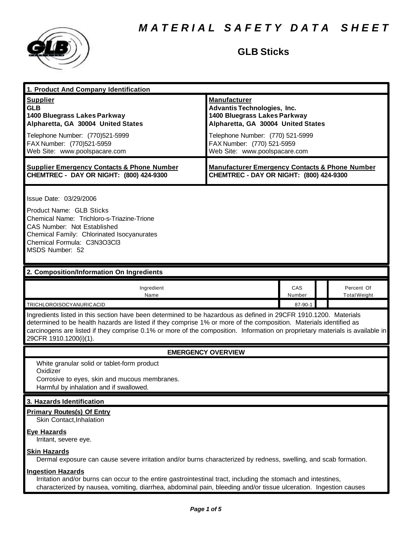

## **GLB Sticks**

| 1. Product And Company Identification                                                                                                                                                                                                                                                                                                                                                                          |                                                                                                                                                                                                                                    |               |  |                                   |  |
|----------------------------------------------------------------------------------------------------------------------------------------------------------------------------------------------------------------------------------------------------------------------------------------------------------------------------------------------------------------------------------------------------------------|------------------------------------------------------------------------------------------------------------------------------------------------------------------------------------------------------------------------------------|---------------|--|-----------------------------------|--|
| <b>Supplier</b><br><b>GLB</b><br>1400 Bluegrass Lakes Parkway<br>Alpharetta, GA 30004 United States<br>Telephone Number: (770)521-5999<br>FAX Number: (770)521-5959<br>Web Site: www.poolspacare.com                                                                                                                                                                                                           | <b>Manufacturer</b><br><b>Advantis Technologies, Inc.</b><br>1400 Bluegrass Lakes Parkway<br>Alpharetta, GA 30004 United States<br>Telephone Number: (770) 521-5999<br>FAX Number: (770) 521-5959<br>Web Site: www.poolspacare.com |               |  |                                   |  |
| <b>Supplier Emergency Contacts &amp; Phone Number</b><br>CHEMTREC - DAY OR NIGHT: (800) 424-9300                                                                                                                                                                                                                                                                                                               | <b>Manufacturer Emergency Contacts &amp; Phone Number</b><br>CHEMTREC - DAY OR NIGHT: (800) 424-9300                                                                                                                               |               |  |                                   |  |
| Issue Date: 03/29/2006<br>Product Name: GLB Sticks<br>Chemical Name: Trichloro-s-Triazine-Trione<br><b>CAS Number: Not Established</b><br>Chemical Family: Chlorinated Isocyanurates<br>Chemical Formula: C3N3O3Cl3<br>MSDS Number: 52                                                                                                                                                                         |                                                                                                                                                                                                                                    |               |  |                                   |  |
| 2. Composition/Information On Ingredients                                                                                                                                                                                                                                                                                                                                                                      |                                                                                                                                                                                                                                    |               |  |                                   |  |
| Ingredient<br>Name                                                                                                                                                                                                                                                                                                                                                                                             |                                                                                                                                                                                                                                    | CAS<br>Number |  | Percent Of<br><b>Total Weight</b> |  |
| TRICHLOROISOCYANURICACID<br>87-90-1<br>Ingredients listed in this section have been determined to be hazardous as defined in 29CFR 1910.1200. Materials<br>determined to be health hazards are listed if they comprise 1% or more of the composition. Materials identified as<br>carcinogens are listed if they comprise 0.1% or more of the composition. Information on proprietary materials is available in |                                                                                                                                                                                                                                    |               |  |                                   |  |
| 29CFR 1910.1200(i)(1).                                                                                                                                                                                                                                                                                                                                                                                         |                                                                                                                                                                                                                                    |               |  |                                   |  |
| <b>EMERGENCY OVERVIEW</b><br>White granular solid or tablet-form product<br>Oxidizer<br>Corrosive to eyes, skin and mucous membranes.<br>Harmful by inhalation and if swallowed.                                                                                                                                                                                                                               |                                                                                                                                                                                                                                    |               |  |                                   |  |
| 3. Hazards Identification                                                                                                                                                                                                                                                                                                                                                                                      |                                                                                                                                                                                                                                    |               |  |                                   |  |
| <b>Primary Routes(s) Of Entry</b><br>Skin Contact, Inhalation<br><b>Eye Hazards</b><br>Irritant, severe eye.                                                                                                                                                                                                                                                                                                   |                                                                                                                                                                                                                                    |               |  |                                   |  |
| <b>Skin Hazards</b><br>Dermal exposure can cause severe irritation and/or burns characterized by redness, swelling, and scab formation.                                                                                                                                                                                                                                                                        |                                                                                                                                                                                                                                    |               |  |                                   |  |
| <b>Ingestion Hazards</b><br>Irritation and/or burns can occur to the entire gastrointestinal tract, including the stomach and intestines,<br>characterized by nausea, vomiting, diarrhea, abdominal pain, bleeding and/or tissue ulceration. Ingestion causes                                                                                                                                                  |                                                                                                                                                                                                                                    |               |  |                                   |  |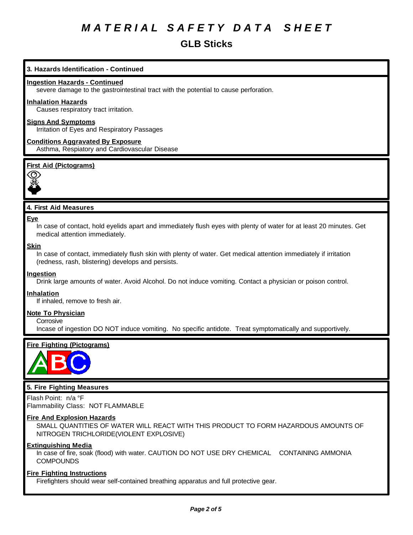## **GLB Sticks**

## **3. Hazards Identification - Continued**

#### **Ingestion Hazards - Continued**

severe damage to the gastrointestinal tract with the potential to cause perforation.

#### **Inhalation Hazards**

Causes respiratory tract irritation.

## **Signs And Symptoms**

Irritation of Eyes and Respiratory Passages

## **Conditions Aggravated By Exposure** Asthma, Respiatory and Cardiovascular Disease

## **First Aid (Pictograms)**



## **4. First Aid Measures**

#### **Eye**

In case of contact, hold eyelids apart and immediately flush eyes with plenty of water for at least 20 minutes. Get medical attention immediately.

#### **Skin**

In case of contact, immediately flush skin with plenty of water. Get medical attention immediately if irritation (redness, rash, blistering) develops and persists.

#### **Ingestion**

Drink large amounts of water. Avoid Alcohol. Do not induce vomiting. Contact a physician or poison control.

#### **Inhalation**

If inhaled, remove to fresh air.

#### **Note To Physician**

**Corrosive** 

Incase of ingestion DO NOT induce vomiting. No specific antidote. Treat symptomatically and supportively.

## **Fire Fighting (Pictograms)**



## **5. Fire Fighting Measures**

Flash Point: n/a °F Flammability Class: NOT FLAMMABLE

#### **Fire And Explosion Hazards**

SMALL QUANTITIES OF WATER WILL REACT WITH THIS PRODUCT TO FORM HAZARDOUS AMOUNTS OF NITROGEN TRICHLORIDE(VIOLENT EXPLOSIVE)

## **Extinguishing Media**

In case of fire, soak (flood) with water. CAUTION DO NOT USE DRY CHEMICAL CONTAINING AMMONIA **COMPOUNDS** 

#### **Fire Fighting Instructions**

Firefighters should wear self-contained breathing apparatus and full protective gear.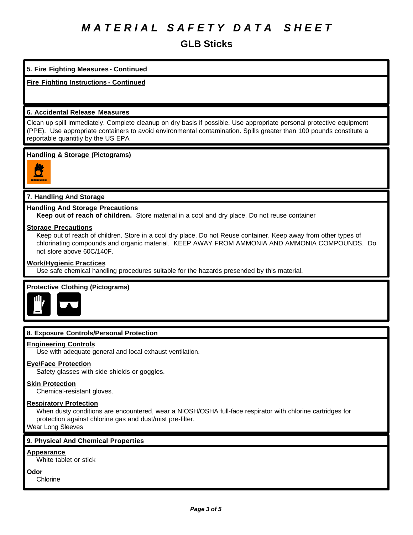**GLB Sticks**

## **5. Fire Fighting Measures - Continued**

**Fire Fighting Instructions - Continued**

### **6. Accidental Release Measures**

Clean up spill immediately. Complete cleanup on dry basis if possible. Use appropriate personal protective equipment (PPE). Use appropriate containers to avoid environmental contamination. Spills greater than 100 pounds constitute a reportable quantitiy by the US EPA

### **Handling & Storage (Pictograms)**



## **7. Handling And Storage**

### **Handling And Storage Precautions**

**Keep out of reach of children.** Store material in a cool and dry place. Do not reuse container

#### **Storage Precautions**

Keep out of reach of children. Store in a cool dry place. Do not Reuse container. Keep away from other types of chlorinating compounds and organic material. KEEP AWAY FROM AMMONIA AND AMMONIA COMPOUNDS. Do not store above 60C/140F.

### **Work/Hygienic Practices**

Use safe chemical handling procedures suitable for the hazards presended by this material.

## **Protective Clothing (Pictograms)**



## **8. Exposure Controls/Personal Protection**

#### **Engineering Controls**

Use with adequate general and local exhaust ventilation.

## **Eye/Face Protection**

Safety glasses with side shields or goggles.

#### **Skin Protection**

Chemical-resistant gloves.

#### **Respiratory Protection**

When dusty conditions are encountered, wear a NIOSH/OSHA full-face respirator with chlorine cartridges for protection against chlorine gas and dust/mist pre-filter.

Wear Long Sleeves

## **9. Physical And Chemical Properties**

#### **Appearance**

White tablet or stick

**Odor**

Chlorine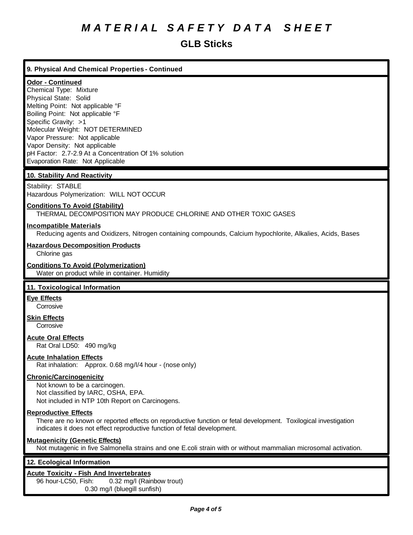## **GLB Sticks**

## **9. Physical And Chemical Properties - Continued**

## **Odor - Continued**

Chemical Type: Mixture Physical State: Solid Melting Point: Not applicable °F Boiling Point: Not applicable °F Specific Gravity: >1 Molecular Weight: NOT DETERMINED Vapor Pressure: Not applicable Vapor Density: Not applicable pH Factor: 2.7-2.9 At a Concentration Of 1% solution Evaporation Rate: Not Applicable

## **10. Stability And Reactivity**

Stability: STABLE Hazardous Polymerization: WILL NOT OCCUR

## **Conditions To Avoid (Stability)**

THERMAL DECOMPOSITION MAY PRODUCE CHLORINE AND OTHER TOXIC GASES

### **Incompatible Materials**

Reducing agents and Oxidizers, Nitrogen containing compounds, Calcium hypochlorite, Alkalies, Acids, Bases

### **Hazardous Decomposition Products**

Chlorine gas

#### **Conditions To Avoid (Polymerization)**

Water on product while in container. Humidity

#### **11. Toxicological Information**

## **Eye Effects**

**Corrosive** 

#### **Skin Effects Corrosive**

## **Acute Oral Effects**

Rat Oral LD50: 490 mg/kg

## **Acute Inhalation Effects**

Rat inhalation: Approx. 0.68 mg/l/4 hour - (nose only)

## **Chronic/Carcinogenicity**

Not known to be a carcinogen. Not classified by IARC, OSHA, EPA. Not included in NTP 10th Report on Carcinogens.

#### **Reproductive Effects**

There are no known or reported effects on reproductive function or fetal development. Toxilogical investigation indicates it does not effect reproductive function of fetal development.

#### **Mutagenicity (Genetic Effects)**

Not mutagenic in five Salmonella strains and one E.coli strain with or without mammalian microsomal activation.

#### **12. Ecological Information**

#### **Acute Toxicity - Fish And Invertebrates**

96 hour-LC50, Fish: 0.32 mg/l (Rainbow trout) 0.30 mg/l (bluegill sunfish)